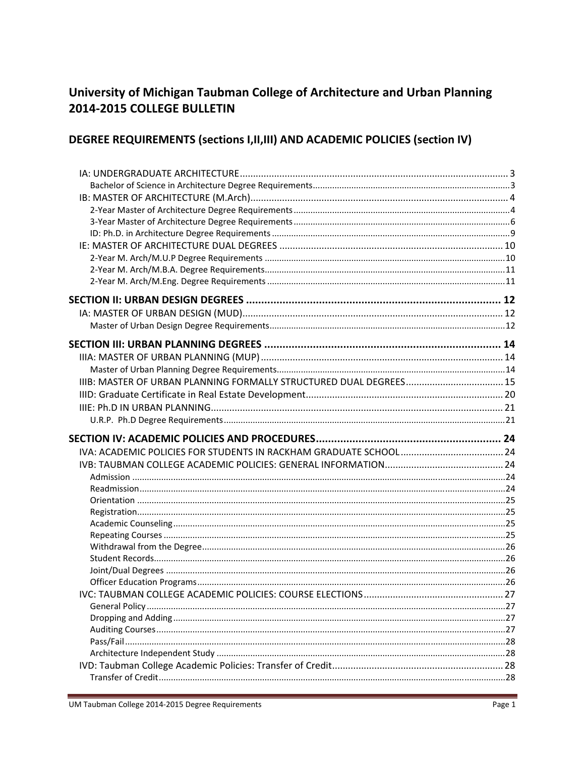# University of Michigan Taubman College of Architecture and Urban Planning 2014-2015 COLLEGE BULLETIN

# DEGREE REQUIREMENTS (sections I, II, III) AND ACADEMIC POLICIES (section IV)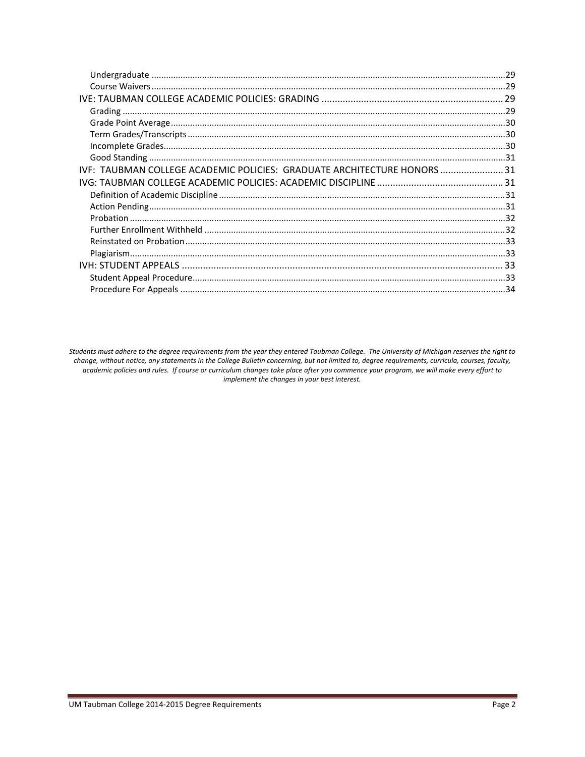| IVF: TAUBMAN COLLEGE ACADEMIC POLICIES: GRADUATE ARCHITECTURE HONORS  31 |  |
|--------------------------------------------------------------------------|--|
|                                                                          |  |
|                                                                          |  |
|                                                                          |  |
|                                                                          |  |
|                                                                          |  |
|                                                                          |  |
|                                                                          |  |
|                                                                          |  |
|                                                                          |  |
|                                                                          |  |

Students must adhere to the degree requirements from the year they entered Taubman College. The University of Michigan reserves the right to change, without notice, any statements in the College Bulletin concerning, but not limited to, degree requirements, curricula, courses, faculty, academic policies and rules. If course or curriculum changes take place after you commence your program, we will make every effort to implement the changes in your best interest.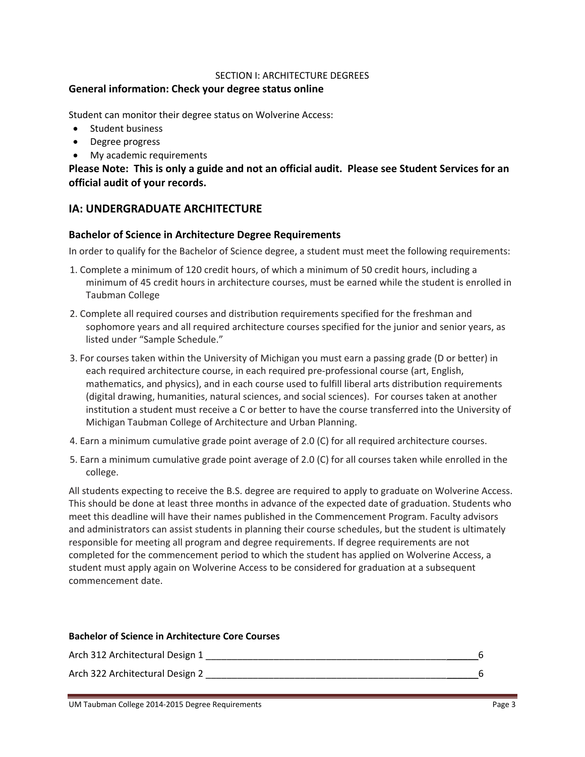#### SECTION I: ARCHITECTURE DEGREES

### **General information: Check your degree status online**

Student can monitor their degree status on Wolverine Access:

- Student business
- Degree progress
- My academic requirements

Please Note: This is only a guide and not an official audit. Please see Student Services for an **official audit of your records.**

# **IA: UNDERGRADUATE ARCHITECTURE**

#### **Bachelor of Science in Architecture Degree Requirements**

In order to qualify for the Bachelor of Science degree, a student must meet the following requirements:

- 1. Complete a minimum of 120 credit hours, of which a minimum of 50 credit hours, including a minimum of 45 credit hours in architecture courses, must be earned while the student is enrolled in Taubman College
- 2. Complete all required courses and distribution requirements specified for the freshman and sophomore years and all required architecture courses specified for the junior and senior years, as listed under "Sample Schedule."
- 3. For courses taken within the University of Michigan you must earn a passing grade (D or better) in each required architecture course, in each required pre‐professional course (art, English, mathematics, and physics), and in each course used to fulfill liberal arts distribution requirements (digital drawing, humanities, natural sciences, and social sciences). For courses taken at another institution a student must receive a C or better to have the course transferred into the University of Michigan Taubman College of Architecture and Urban Planning.
- 4. Earn a minimum cumulative grade point average of 2.0 (C) for all required architecture courses.
- 5. Earn a minimum cumulative grade point average of 2.0 (C) for all courses taken while enrolled in the college.

All students expecting to receive the B.S. degree are required to apply to graduate on Wolverine Access. This should be done at least three months in advance of the expected date of graduation. Students who meet this deadline will have their names published in the Commencement Program. Faculty advisors and administrators can assist students in planning their course schedules, but the student is ultimately responsible for meeting all program and degree requirements. If degree requirements are not completed for the commencement period to which the student has applied on Wolverine Access, a student must apply again on Wolverine Access to be considered for graduation at a subsequent commencement date.

#### **Bachelor of Science in Architecture Core Courses**

| Arch 312 Architectural Design 1 |  |
|---------------------------------|--|
| Arch 322 Architectural Design 2 |  |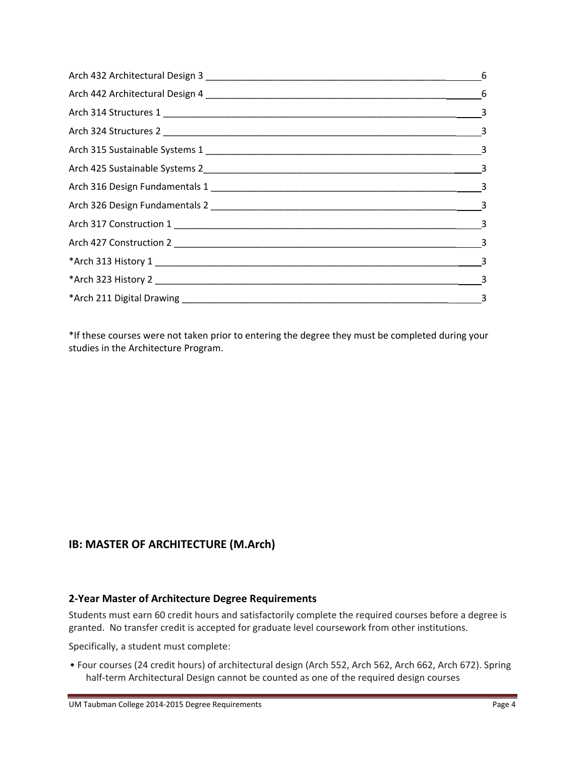| $\overline{\phantom{1}}$ 3 |
|----------------------------|

\*If these courses were not taken prior to entering the degree they must be completed during your studies in the Architecture Program.

# **IB: MASTER OF ARCHITECTURE (M.Arch)**

# **2‐Year Master of Architecture Degree Requirements**

Students must earn 60 credit hours and satisfactorily complete the required courses before a degree is granted. No transfer credit is accepted for graduate level coursework from other institutions.

Specifically, a student must complete:

• Four courses (24 credit hours) of architectural design (Arch 552, Arch 562, Arch 662, Arch 672). Spring half-term Architectural Design cannot be counted as one of the required design courses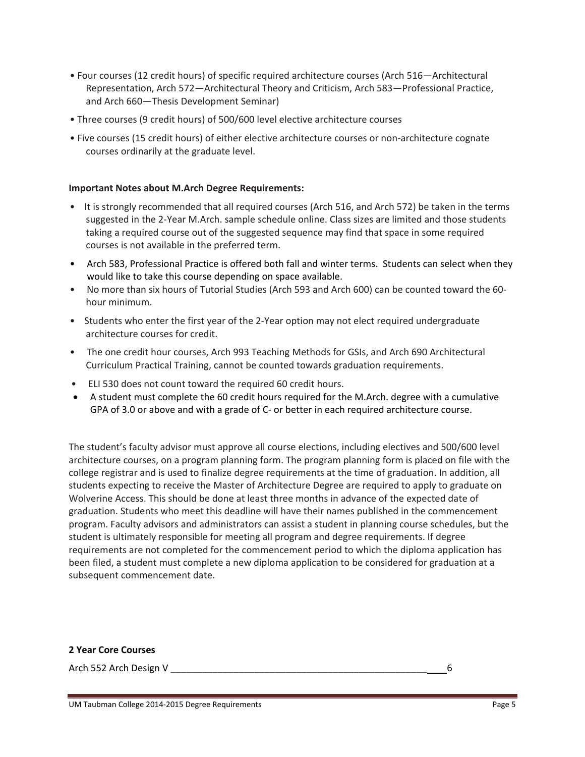- Four courses (12 credit hours) of specific required architecture courses (Arch 516—Architectural Representation, Arch 572—Architectural Theory and Criticism, Arch 583—Professional Practice, and Arch 660—Thesis Development Seminar)
- Three courses (9 credit hours) of 500/600 level elective architecture courses
- Five courses (15 credit hours) of either elective architecture courses or non‐architecture cognate courses ordinarily at the graduate level.

#### **Important Notes about M.Arch Degree Requirements:**

- It is strongly recommended that all required courses (Arch 516, and Arch 572) be taken in the terms suggested in the 2‐Year M.Arch. sample schedule online. Class sizes are limited and those students taking a required course out of the suggested sequence may find that space in some required courses is not available in the preferred term.
- Arch 583, Professional Practice is offered both fall and winter terms. Students can select when they would like to take this course depending on space available.
- No more than six hours of Tutorial Studies (Arch 593 and Arch 600) can be counted toward the 60hour minimum.
- Students who enter the first year of the 2-Year option may not elect required undergraduate architecture courses for credit.
- The one credit hour courses, Arch 993 Teaching Methods for GSIs, and Arch 690 Architectural Curriculum Practical Training, cannot be counted towards graduation requirements.
- ELI 530 does not count toward the required 60 credit hours.
- A student must complete the 60 credit hours required for the M.Arch. degree with a cumulative GPA of 3.0 or above and with a grade of C- or better in each required architecture course.

The student's faculty advisor must approve all course elections, including electives and 500/600 level architecture courses, on a program planning form. The program planning form is placed on file with the college registrar and is used to finalize degree requirements at the time of graduation. In addition, all students expecting to receive the Master of Architecture Degree are required to apply to graduate on Wolverine Access. This should be done at least three months in advance of the expected date of graduation. Students who meet this deadline will have their names published in the commencement program. Faculty advisors and administrators can assist a student in planning course schedules, but the student is ultimately responsible for meeting all program and degree requirements. If degree requirements are not completed for the commencement period to which the diploma application has been filed, a student must complete a new diploma application to be considered for graduation at a subsequent commencement date.

#### **2 Year Core Courses**

Arch 552 Arch Design V \_\_\_\_\_\_\_\_\_\_\_\_\_\_\_\_\_\_\_\_\_\_\_\_\_\_\_\_\_\_\_\_\_\_\_\_\_\_\_\_\_\_\_\_\_\_\_\_\_ 6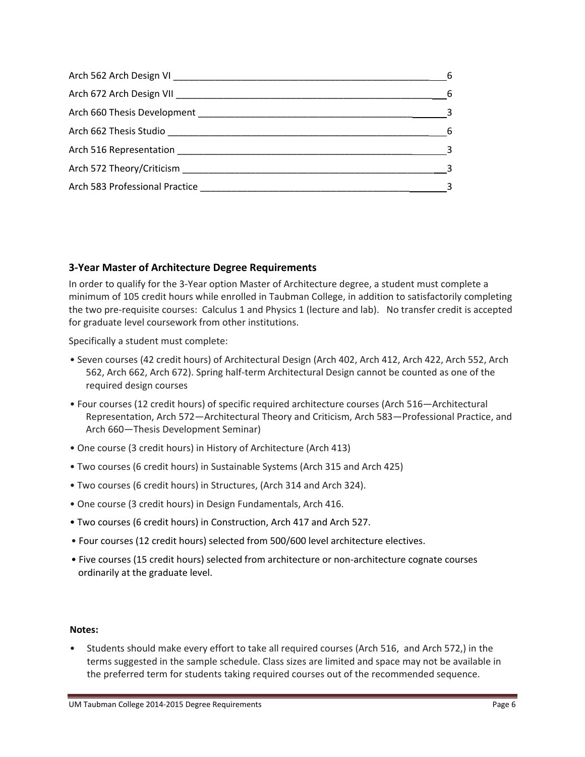| - 6                        |
|----------------------------|
| $6\overline{6}$            |
| $\overline{\phantom{a}}$ 3 |
| $\sim$ 6                   |
| $\overline{\phantom{a}}$ 3 |
| $\sim$ 3                   |
|                            |

# **3‐Year Master of Architecture Degree Requirements**

In order to qualify for the 3‐Year option Master of Architecture degree, a student must complete a minimum of 105 credit hours while enrolled in Taubman College, in addition to satisfactorily completing the two pre‐requisite courses: Calculus 1 and Physics 1 (lecture and lab). No transfer credit is accepted for graduate level coursework from other institutions.

Specifically a student must complete:

- Seven courses (42 credit hours) of Architectural Design (Arch 402, Arch 412, Arch 422, Arch 552, Arch 562, Arch 662, Arch 672). Spring half‐term Architectural Design cannot be counted as one of the required design courses
- Four courses (12 credit hours) of specific required architecture courses (Arch 516—Architectural Representation, Arch 572—Architectural Theory and Criticism, Arch 583—Professional Practice, and Arch 660—Thesis Development Seminar)
- One course (3 credit hours) in History of Architecture (Arch 413)
- Two courses (6 credit hours) in Sustainable Systems (Arch 315 and Arch 425)
- Two courses (6 credit hours) in Structures, (Arch 314 and Arch 324).
- One course (3 credit hours) in Design Fundamentals, Arch 416.
- Two courses (6 credit hours) in Construction, Arch 417 and Arch 527.
- Four courses (12 credit hours) selected from 500/600 level architecture electives.
- Five courses (15 credit hours) selected from architecture or non‐architecture cognate courses ordinarily at the graduate level.

#### **Notes:**

• Students should make every effort to take all required courses (Arch 516, and Arch 572,) in the terms suggested in the sample schedule. Class sizes are limited and space may not be available in the preferred term for students taking required courses out of the recommended sequence.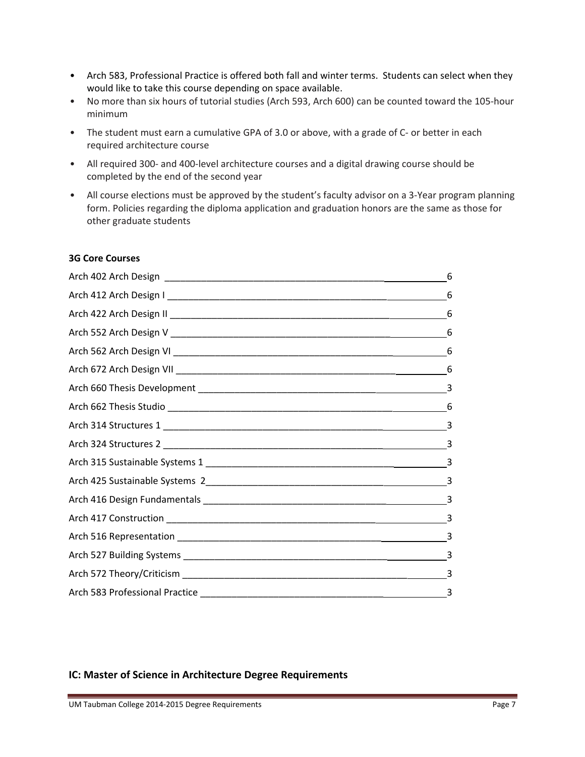- Arch 583, Professional Practice is offered both fall and winter terms. Students can select when they would like to take this course depending on space available.
- No more than six hours of tutorial studies (Arch 593, Arch 600) can be counted toward the 105-hour minimum
- The student must earn a cumulative GPA of 3.0 or above, with a grade of C- or better in each required architecture course
- All required 300‐ and 400‐level architecture courses and a digital drawing course should be completed by the end of the second year
- All course elections must be approved by the student's faculty advisor on a 3-Year program planning form. Policies regarding the diploma application and graduation honors are the same as those for other graduate students

### **3G Core Courses**

| 6 |
|---|
| 6 |
|   |
|   |
|   |
|   |
|   |
|   |
|   |
| 3 |
| 3 |
|   |
|   |
|   |
|   |
|   |
|   |
|   |

# **IC: Master of Science in Architecture Degree Requirements**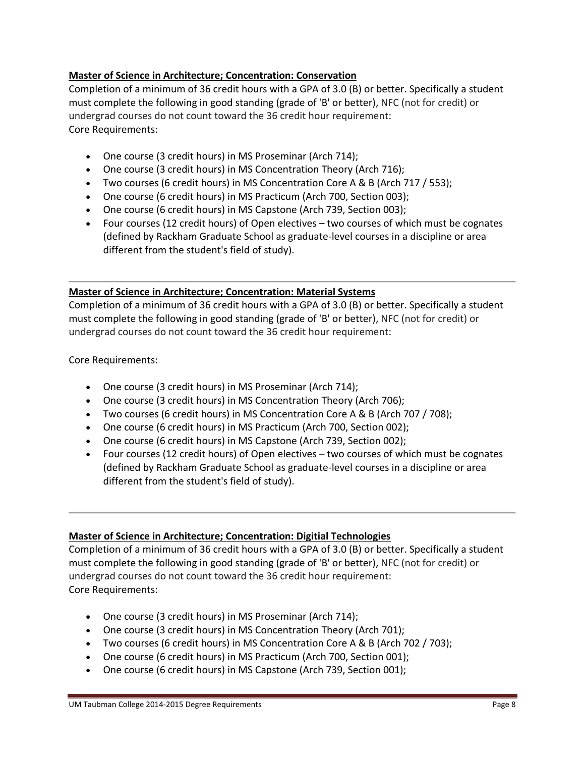# **Master of Science in Architecture; Concentration: Conservation**

Completion of a minimum of 36 credit hours with a GPA of 3.0 (B) or better. Specifically a student must complete the following in good standing (grade of 'B' or better), NFC (not for credit) or undergrad courses do not count toward the 36 credit hour requirement: Core Requirements:

- One course (3 credit hours) in MS Proseminar (Arch 714);
- One course (3 credit hours) in MS Concentration Theory (Arch 716);
- Two courses (6 credit hours) in MS Concentration Core A & B (Arch 717 / 553);
- One course (6 credit hours) in MS Practicum (Arch 700, Section 003);
- One course (6 credit hours) in MS Capstone (Arch 739, Section 003);
- Four courses (12 credit hours) of Open electives two courses of which must be cognates (defined by Rackham Graduate School as graduate‐level courses in a discipline or area different from the student's field of study).

# **Master of Science in Architecture; Concentration: Material Systems**

Completion of a minimum of 36 credit hours with a GPA of 3.0 (B) or better. Specifically a student must complete the following in good standing (grade of 'B' or better), NFC (not for credit) or undergrad courses do not count toward the 36 credit hour requirement:

Core Requirements:

- One course (3 credit hours) in MS Proseminar (Arch 714);
- One course (3 credit hours) in MS Concentration Theory (Arch 706);
- Two courses (6 credit hours) in MS Concentration Core A & B (Arch 707 / 708);
- One course (6 credit hours) in MS Practicum (Arch 700, Section 002);
- One course (6 credit hours) in MS Capstone (Arch 739, Section 002);
- Four courses (12 credit hours) of Open electives two courses of which must be cognates (defined by Rackham Graduate School as graduate‐level courses in a discipline or area different from the student's field of study).

# **Master of Science in Architecture; Concentration: Digitial Technologies**

Completion of a minimum of 36 credit hours with a GPA of 3.0 (B) or better. Specifically a student must complete the following in good standing (grade of 'B' or better), NFC (not for credit) or undergrad courses do not count toward the 36 credit hour requirement: Core Requirements:

- One course (3 credit hours) in MS Proseminar (Arch 714);
- One course (3 credit hours) in MS Concentration Theory (Arch 701);
- Two courses (6 credit hours) in MS Concentration Core A & B (Arch 702 / 703);
- One course (6 credit hours) in MS Practicum (Arch 700, Section 001);
- One course (6 credit hours) in MS Capstone (Arch 739, Section 001);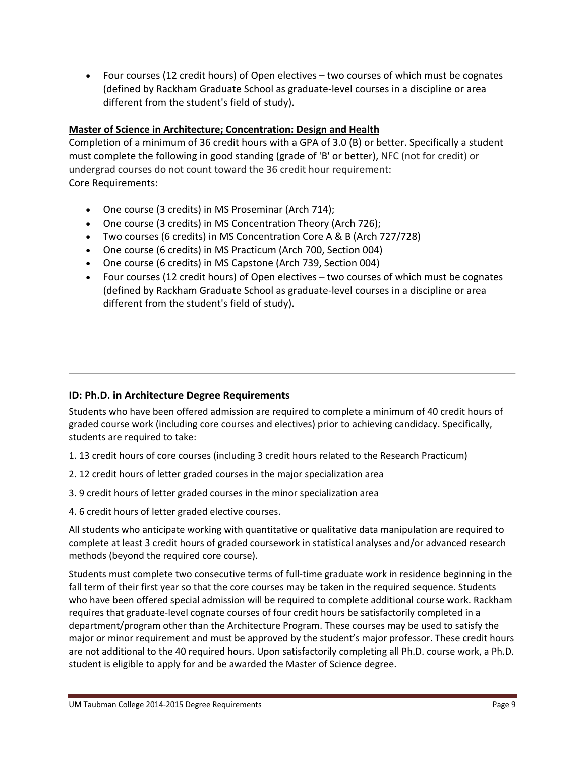Four courses (12 credit hours) of Open electives – two courses of which must be cognates (defined by Rackham Graduate School as graduate‐level courses in a discipline or area different from the student's field of study).

# **Master of Science in Architecture; Concentration: Design and Health**

Completion of a minimum of 36 credit hours with a GPA of 3.0 (B) or better. Specifically a student must complete the following in good standing (grade of 'B' or better), NFC (not for credit) or undergrad courses do not count toward the 36 credit hour requirement: Core Requirements:

- One course (3 credits) in MS Proseminar (Arch 714);
- One course (3 credits) in MS Concentration Theory (Arch 726);
- Two courses (6 credits) in MS Concentration Core A & B (Arch 727/728)
- One course (6 credits) in MS Practicum (Arch 700, Section 004)
- One course (6 credits) in MS Capstone (Arch 739, Section 004)
- Four courses (12 credit hours) of Open electives two courses of which must be cognates (defined by Rackham Graduate School as graduate‐level courses in a discipline or area different from the student's field of study).

# **ID: Ph.D. in Architecture Degree Requirements**

Students who have been offered admission are required to complete a minimum of 40 credit hours of graded course work (including core courses and electives) prior to achieving candidacy. Specifically, students are required to take:

- 1. 13 credit hours of core courses (including 3 credit hours related to the Research Practicum)
- 2. 12 credit hours of letter graded courses in the major specialization area
- 3. 9 credit hours of letter graded courses in the minor specialization area
- 4. 6 credit hours of letter graded elective courses.

All students who anticipate working with quantitative or qualitative data manipulation are required to complete at least 3 credit hours of graded coursework in statistical analyses and/or advanced research methods (beyond the required core course).

Students must complete two consecutive terms of full‐time graduate work in residence beginning in the fall term of their first year so that the core courses may be taken in the required sequence. Students who have been offered special admission will be required to complete additional course work. Rackham requires that graduate‐level cognate courses of four credit hours be satisfactorily completed in a department/program other than the Architecture Program. These courses may be used to satisfy the major or minor requirement and must be approved by the student's major professor. These credit hours are not additional to the 40 required hours. Upon satisfactorily completing all Ph.D. course work, a Ph.D. student is eligible to apply for and be awarded the Master of Science degree.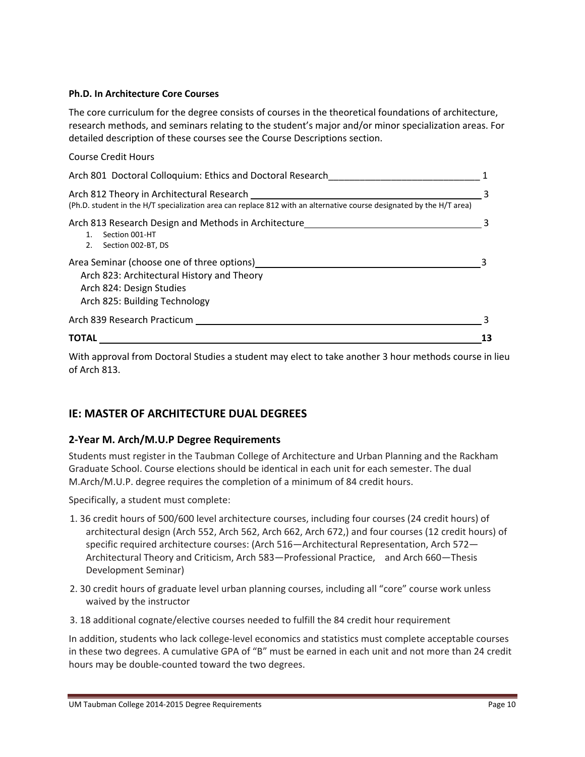#### **Ph.D. In Architecture Core Courses**

The core curriculum for the degree consists of courses in the theoretical foundations of architecture, research methods, and seminars relating to the student's major and/or minor specialization areas. For detailed description of these courses see the Course Descriptions section.

| <b>Course Credit Hours</b>                                                                                                                                        |  |
|-------------------------------------------------------------------------------------------------------------------------------------------------------------------|--|
| Arch 801 Doctoral Colloquium: Ethics and Doctoral Research                                                                                                        |  |
| Arch 812 Theory in Architectural Research<br>(Ph.D. student in the H/T specialization area can replace 812 with an alternative course designated by the H/T area) |  |
| Arch 813 Research Design and Methods in Architecture<br>Section 001-HT<br>Section 002-BT, DS<br>2.                                                                |  |
| Area Seminar (choose one of three options)<br>Arch 823: Architectural History and Theory<br>Arch 824: Design Studies<br>Arch 825: Building Technology             |  |
| Arch 839 Research Practicum                                                                                                                                       |  |
| TOTAL                                                                                                                                                             |  |

With approval from Doctoral Studies a student may elect to take another 3 hour methods course in lieu of Arch 813.

# **IE: MASTER OF ARCHITECTURE DUAL DEGREES**

# **2‐Year M. Arch/M.U.P Degree Requirements**

Students must register in the Taubman College of Architecture and Urban Planning and the Rackham Graduate School. Course elections should be identical in each unit for each semester. The dual M.Arch/M.U.P. degree requires the completion of a minimum of 84 credit hours.

Specifically, a student must complete:

- 1. 36 credit hours of 500/600 level architecture courses, including four courses (24 credit hours) of architectural design (Arch 552, Arch 562, Arch 662, Arch 672,) and four courses (12 credit hours) of specific required architecture courses: (Arch 516—Architectural Representation, Arch 572— Architectural Theory and Criticism, Arch 583—Professional Practice, and Arch 660—Thesis Development Seminar)
- 2. 30 credit hours of graduate level urban planning courses, including all "core" course work unless waived by the instructor
- 3. 18 additional cognate/elective courses needed to fulfill the 84 credit hour requirement

In addition, students who lack college‐level economics and statistics must complete acceptable courses in these two degrees. A cumulative GPA of "B" must be earned in each unit and not more than 24 credit hours may be double‐counted toward the two degrees.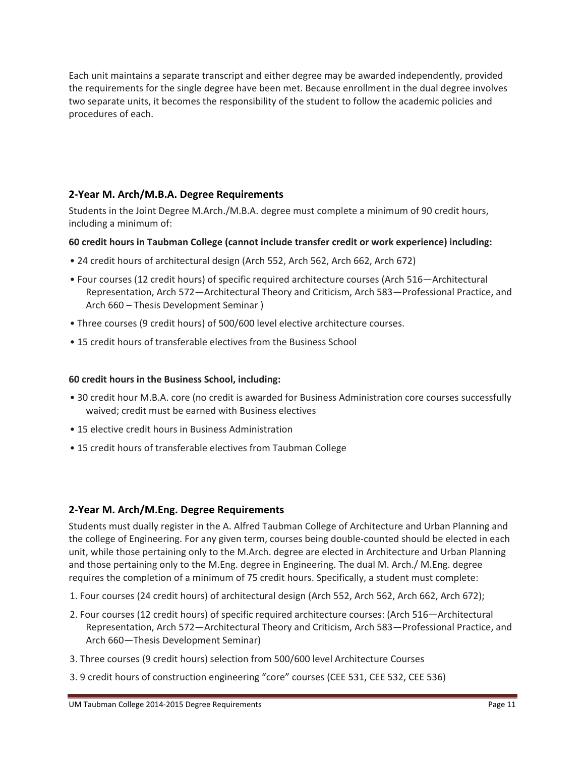Each unit maintains a separate transcript and either degree may be awarded independently, provided the requirements for the single degree have been met. Because enrollment in the dual degree involves two separate units, it becomes the responsibility of the student to follow the academic policies and procedures of each.

# **2‐Year M. Arch/M.B.A. Degree Requirements**

Students in the Joint Degree M.Arch./M.B.A. degree must complete a minimum of 90 credit hours, including a minimum of:

### **60 credit hours in Taubman College (cannot include transfer credit or work experience) including:**

- 24 credit hours of architectural design (Arch 552, Arch 562, Arch 662, Arch 672)
- Four courses (12 credit hours) of specific required architecture courses (Arch 516—Architectural Representation, Arch 572—Architectural Theory and Criticism, Arch 583—Professional Practice, and Arch 660 – Thesis Development Seminar )
- Three courses (9 credit hours) of 500/600 level elective architecture courses.
- 15 credit hours of transferable electives from the Business School

#### **60 credit hours in the Business School, including:**

- 30 credit hour M.B.A. core (no credit is awarded for Business Administration core courses successfully waived; credit must be earned with Business electives
- 15 elective credit hours in Business Administration
- 15 credit hours of transferable electives from Taubman College

# **2‐Year M. Arch/M.Eng. Degree Requirements**

Students must dually register in the A. Alfred Taubman College of Architecture and Urban Planning and the college of Engineering. For any given term, courses being double‐counted should be elected in each unit, while those pertaining only to the M.Arch. degree are elected in Architecture and Urban Planning and those pertaining only to the M.Eng. degree in Engineering. The dual M. Arch./ M.Eng. degree requires the completion of a minimum of 75 credit hours. Specifically, a student must complete:

- 1. Four courses (24 credit hours) of architectural design (Arch 552, Arch 562, Arch 662, Arch 672);
- 2. Four courses (12 credit hours) of specific required architecture courses: (Arch 516—Architectural Representation, Arch 572—Architectural Theory and Criticism, Arch 583—Professional Practice, and Arch 660—Thesis Development Seminar)
- 3. Three courses (9 credit hours) selection from 500/600 level Architecture Courses
- 3. 9 credit hours of construction engineering "core" courses (CEE 531, CEE 532, CEE 536)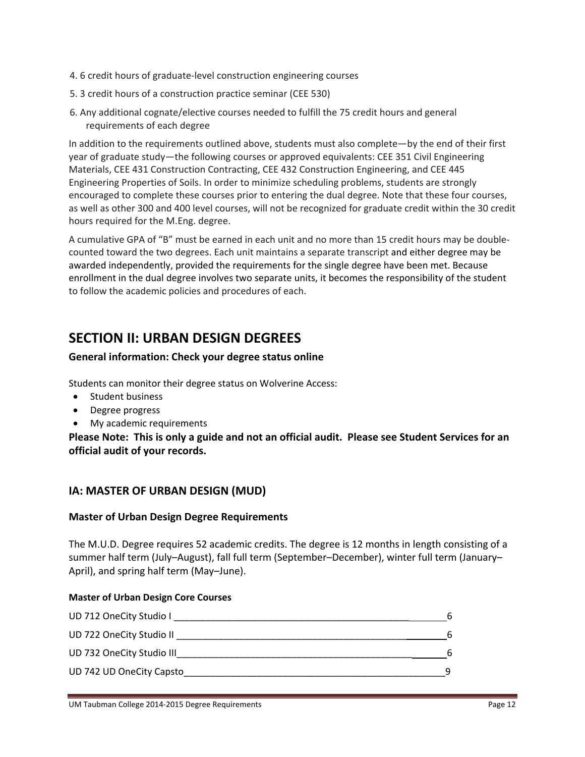- 4. 6 credit hours of graduate‐level construction engineering courses
- 5. 3 credit hours of a construction practice seminar (CEE 530)
- 6. Any additional cognate/elective courses needed to fulfill the 75 credit hours and general requirements of each degree

In addition to the requirements outlined above, students must also complete—by the end of their first year of graduate study—the following courses or approved equivalents: CEE 351 Civil Engineering Materials, CEE 431 Construction Contracting, CEE 432 Construction Engineering, and CEE 445 Engineering Properties of Soils. In order to minimize scheduling problems, students are strongly encouraged to complete these courses prior to entering the dual degree. Note that these four courses, as well as other 300 and 400 level courses, will not be recognized for graduate credit within the 30 credit hours required for the M.Eng. degree.

A cumulative GPA of "B" must be earned in each unit and no more than 15 credit hours may be double‐ counted toward the two degrees. Each unit maintains a separate transcript and either degree may be awarded independently, provided the requirements for the single degree have been met. Because enrollment in the dual degree involves two separate units, it becomes the responsibility of the student to follow the academic policies and procedures of each.

# **SECTION II: URBAN DESIGN DEGREES**

### **General information: Check your degree status online**

Students can monitor their degree status on Wolverine Access:

- Student business
- Degree progress
- My academic requirements

Please Note: This is only a guide and not an official audit. Please see Student Services for an **official audit of your records.**

# **IA: MASTER OF URBAN DESIGN (MUD)**

#### **Master of Urban Design Degree Requirements**

The M.U.D. Degree requires 52 academic credits. The degree is 12 months in length consisting of a summer half term (July–August), fall full term (September–December), winter full term (January– April), and spring half term (May–June).

#### **Master of Urban Design Core Courses**

| UD 712 OneCity Studio I   | 6 |
|---------------------------|---|
| UD 722 OneCity Studio II  | 6 |
| UD 732 OneCity Studio III | 6 |
| UD 742 UD OneCity Capsto  |   |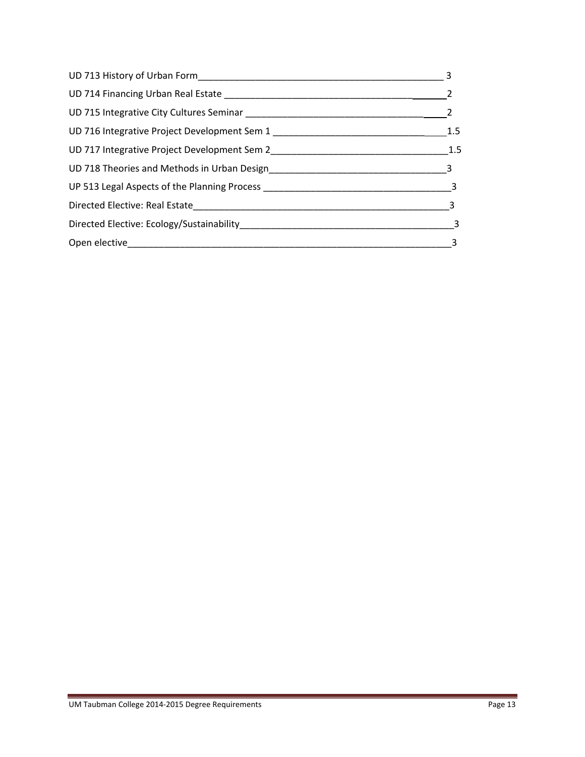| 1.5                        |
|----------------------------|
| 1.5                        |
|                            |
|                            |
| $\overline{\phantom{a}}$ 3 |
| $\overline{\phantom{a}}$ 3 |
| 3                          |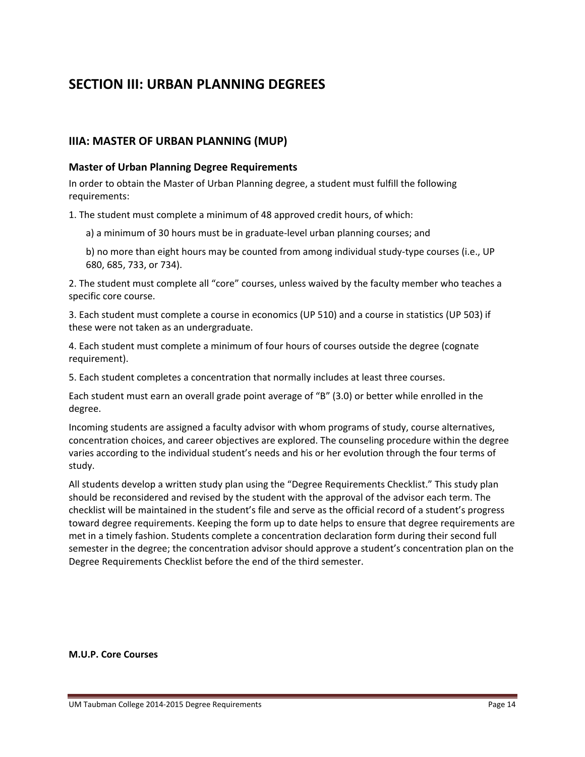# **SECTION III: URBAN PLANNING DEGREES**

# **IIIA: MASTER OF URBAN PLANNING (MUP)**

#### **Master of Urban Planning Degree Requirements**

In order to obtain the Master of Urban Planning degree, a student must fulfill the following requirements:

1. The student must complete a minimum of 48 approved credit hours, of which:

a) a minimum of 30 hours must be in graduate‐level urban planning courses; and

b) no more than eight hours may be counted from among individual study‐type courses (i.e., UP 680, 685, 733, or 734).

2. The student must complete all "core" courses, unless waived by the faculty member who teaches a specific core course.

3. Each student must complete a course in economics (UP 510) and a course in statistics (UP 503) if these were not taken as an undergraduate.

4. Each student must complete a minimum of four hours of courses outside the degree (cognate requirement).

5. Each student completes a concentration that normally includes at least three courses.

Each student must earn an overall grade point average of "B" (3.0) or better while enrolled in the degree.

Incoming students are assigned a faculty advisor with whom programs of study, course alternatives, concentration choices, and career objectives are explored. The counseling procedure within the degree varies according to the individual student's needs and his or her evolution through the four terms of study.

All students develop a written study plan using the "Degree Requirements Checklist." This study plan should be reconsidered and revised by the student with the approval of the advisor each term. The checklist will be maintained in the student's file and serve as the official record of a student's progress toward degree requirements. Keeping the form up to date helps to ensure that degree requirements are met in a timely fashion. Students complete a concentration declaration form during their second full semester in the degree; the concentration advisor should approve a student's concentration plan on the Degree Requirements Checklist before the end of the third semester.

#### **M.U.P. Core Courses**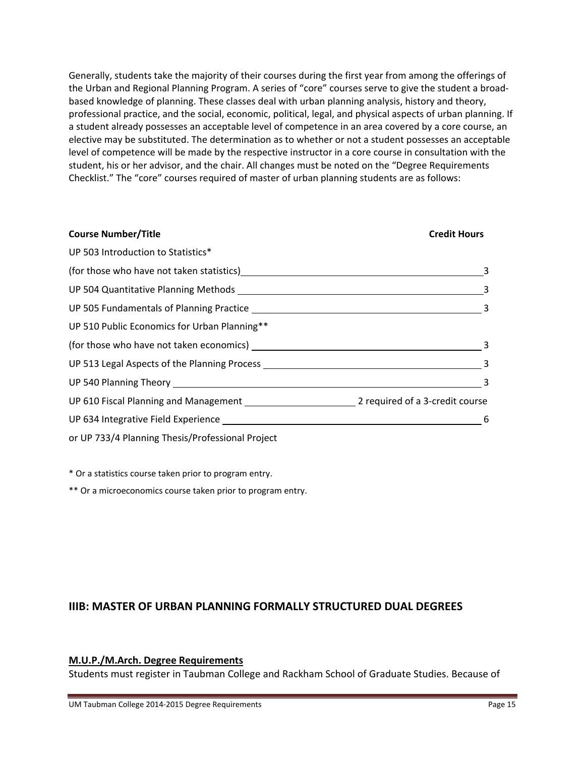Generally, students take the majority of their courses during the first year from among the offerings of the Urban and Regional Planning Program. A series of "core" courses serve to give the student a broad‐ based knowledge of planning. These classes deal with urban planning analysis, history and theory, professional practice, and the social, economic, political, legal, and physical aspects of urban planning. If a student already possesses an acceptable level of competence in an area covered by a core course, an elective may be substituted. The determination as to whether or not a student possesses an acceptable level of competence will be made by the respective instructor in a core course in consultation with the student, his or her advisor, and the chair. All changes must be noted on the "Degree Requirements Checklist." The "core" courses required of master of urban planning students are as follows:

| <b>Course Number/Title</b>                                                                                                                                                                                                     | <b>Credit Hours</b>     |
|--------------------------------------------------------------------------------------------------------------------------------------------------------------------------------------------------------------------------------|-------------------------|
| UP 503 Introduction to Statistics*                                                                                                                                                                                             |                         |
| (for those who have not taken statistics) example a state of the state of the state of the state of the state o                                                                                                                | 3                       |
|                                                                                                                                                                                                                                |                         |
|                                                                                                                                                                                                                                |                         |
| UP 510 Public Economics for Urban Planning**                                                                                                                                                                                   |                         |
|                                                                                                                                                                                                                                |                         |
|                                                                                                                                                                                                                                |                         |
|                                                                                                                                                                                                                                | $\overline{\mathbf{3}}$ |
|                                                                                                                                                                                                                                |                         |
| UP 634 Integrative Field Experience Learner and Control and Control of the Control of the Control of the Control of the Control of the Control of the Control of the Control of the Control of the Control of the Control of t | 6                       |
| or UP 733/4 Planning Thesis/Professional Project                                                                                                                                                                               |                         |

\* Or a statistics course taken prior to program entry.

\*\* Or a microeconomics course taken prior to program entry.

# **IIIB: MASTER OF URBAN PLANNING FORMALLY STRUCTURED DUAL DEGREES**

# **M.U.P./M.Arch. Degree Requirements**

Students must register in Taubman College and Rackham School of Graduate Studies. Because of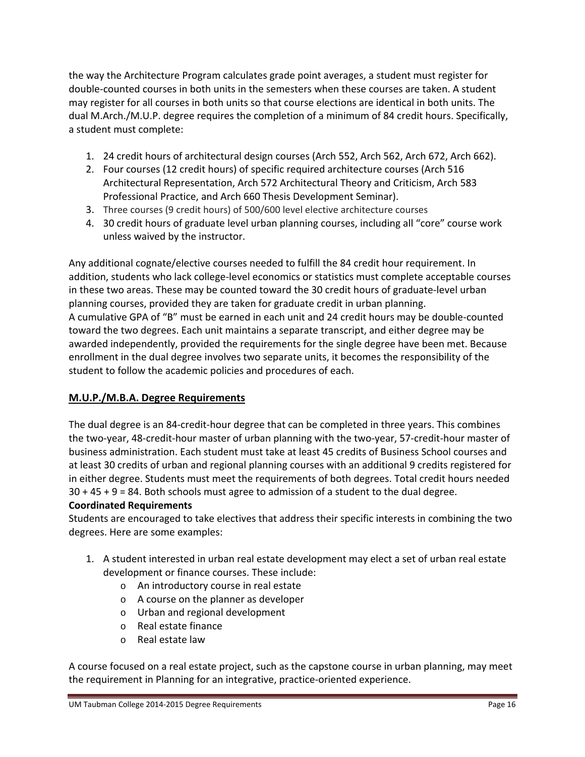the way the Architecture Program calculates grade point averages, a student must register for double-counted courses in both units in the semesters when these courses are taken. A student may register for all courses in both units so that course elections are identical in both units. The dual M.Arch./M.U.P. degree requires the completion of a minimum of 84 credit hours. Specifically, a student must complete:

- 1. 24 credit hours of architectural design courses (Arch 552, Arch 562, Arch 672, Arch 662).
- 2. Four courses (12 credit hours) of specific required architecture courses (Arch 516 Architectural Representation, Arch 572 Architectural Theory and Criticism, Arch 583 Professional Practice, and Arch 660 Thesis Development Seminar).
- 3. Three courses (9 credit hours) of 500/600 level elective architecture courses
- 4. 30 credit hours of graduate level urban planning courses, including all "core" course work unless waived by the instructor.

Any additional cognate/elective courses needed to fulfill the 84 credit hour requirement. In addition, students who lack college‐level economics or statistics must complete acceptable courses in these two areas. These may be counted toward the 30 credit hours of graduate‐level urban planning courses, provided they are taken for graduate credit in urban planning. A cumulative GPA of "B" must be earned in each unit and 24 credit hours may be double‐counted toward the two degrees. Each unit maintains a separate transcript, and either degree may be awarded independently, provided the requirements for the single degree have been met. Because enrollment in the dual degree involves two separate units, it becomes the responsibility of the student to follow the academic policies and procedures of each.

# **M.U.P./M.B.A. Degree Requirements**

The dual degree is an 84-credit-hour degree that can be completed in three years. This combines the two‐year, 48‐credit‐hour master of urban planning with the two‐year, 57‐credit‐hour master of business administration. Each student must take at least 45 credits of Business School courses and at least 30 credits of urban and regional planning courses with an additional 9 credits registered for in either degree. Students must meet the requirements of both degrees. Total credit hours needed 30 + 45 + 9 = 84. Both schools must agree to admission of a student to the dual degree.

# **Coordinated Requirements**

Students are encouraged to take electives that address their specific interests in combining the two degrees. Here are some examples:

- 1. A student interested in urban real estate development may elect a set of urban real estate development or finance courses. These include:
	- o An introductory course in real estate
	- o A course on the planner as developer
	- o Urban and regional development
	- o Real estate finance
	- o Real estate law

A course focused on a real estate project, such as the capstone course in urban planning, may meet the requirement in Planning for an integrative, practice‐oriented experience.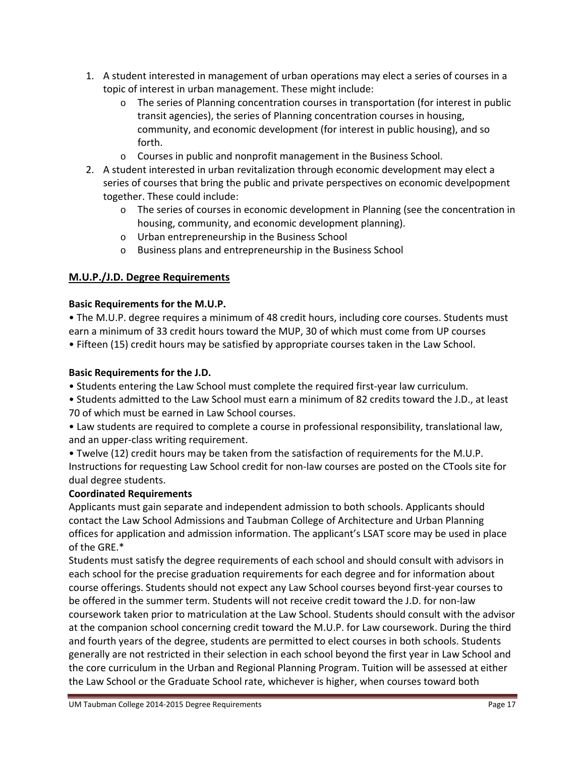- 1. A student interested in management of urban operations may elect a series of courses in a topic of interest in urban management. These might include:
	- $\circ$  The series of Planning concentration courses in transportation (for interest in public transit agencies), the series of Planning concentration courses in housing, community, and economic development (for interest in public housing), and so forth.
	- o Courses in public and nonprofit management in the Business School.
- 2. A student interested in urban revitalization through economic development may elect a series of courses that bring the public and private perspectives on economic develpopment together. These could include:
	- o The series of courses in economic development in Planning (see the concentration in housing, community, and economic development planning).
	- o Urban entrepreneurship in the Business School
	- o Business plans and entrepreneurship in the Business School

# **M.U.P./J.D. Degree Requirements**

# **Basic Requirements for the M.U.P.**

• The M.U.P. degree requires a minimum of 48 credit hours, including core courses. Students must earn a minimum of 33 credit hours toward the MUP, 30 of which must come from UP courses • Fifteen (15) credit hours may be satisfied by appropriate courses taken in the Law School.

# **Basic Requirements for the J.D.**

• Students entering the Law School must complete the required first‐year law curriculum.

• Students admitted to the Law School must earn a minimum of 82 credits toward the J.D., at least 70 of which must be earned in Law School courses.

• Law students are required to complete a course in professional responsibility, translational law, and an upper‐class writing requirement.

• Twelve (12) credit hours may be taken from the satisfaction of requirements for the M.U.P. Instructions for requesting Law School credit for non‐law courses are posted on the CTools site for dual degree students.

# **Coordinated Requirements**

Applicants must gain separate and independent admission to both schools. Applicants should contact the Law School Admissions and Taubman College of Architecture and Urban Planning offices for application and admission information. The applicant's LSAT score may be used in place of the GRE.\*

Students must satisfy the degree requirements of each school and should consult with advisors in each school for the precise graduation requirements for each degree and for information about course offerings. Students should not expect any Law School courses beyond first‐year courses to be offered in the summer term. Students will not receive credit toward the J.D. for non‐law coursework taken prior to matriculation at the Law School. Students should consult with the advisor at the companion school concerning credit toward the M.U.P. for Law coursework. During the third and fourth years of the degree, students are permitted to elect courses in both schools. Students generally are not restricted in their selection in each school beyond the first year in Law School and the core curriculum in the Urban and Regional Planning Program. Tuition will be assessed at either the Law School or the Graduate School rate, whichever is higher, when courses toward both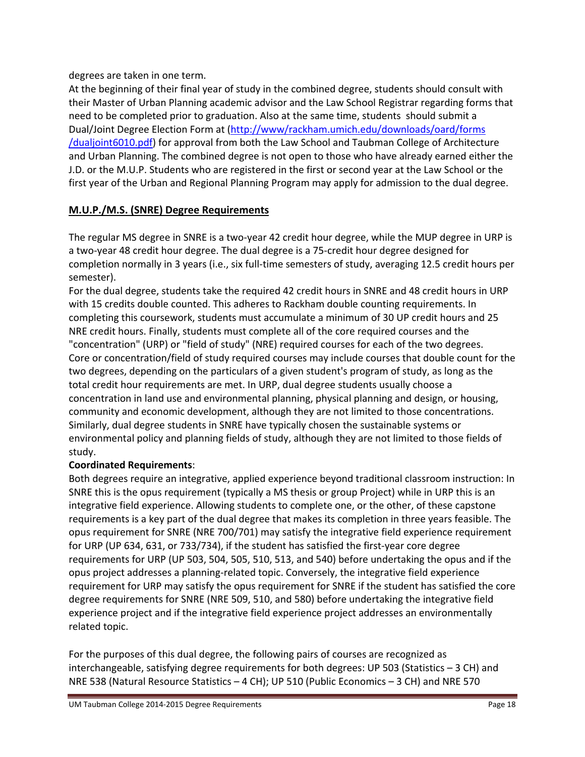degrees are taken in one term.

At the beginning of their final year of study in the combined degree, students should consult with their Master of Urban Planning academic advisor and the Law School Registrar regarding forms that need to be completed prior to graduation. Also at the same time, students should submit a Dual/Joint Degree Election Form at (http://www/rackham.umich.edu/downloads/oard/forms /dualjoint6010.pdf) for approval from both the Law School and Taubman College of Architecture and Urban Planning. The combined degree is not open to those who have already earned either the J.D. or the M.U.P. Students who are registered in the first or second year at the Law School or the first year of the Urban and Regional Planning Program may apply for admission to the dual degree.

# **M.U.P./M.S. (SNRE) Degree Requirements**

The regular MS degree in SNRE is a two-year 42 credit hour degree, while the MUP degree in URP is a two‐year 48 credit hour degree. The dual degree is a 75‐credit hour degree designed for completion normally in 3 years (i.e., six full‐time semesters of study, averaging 12.5 credit hours per semester).

For the dual degree, students take the required 42 credit hours in SNRE and 48 credit hours in URP with 15 credits double counted. This adheres to Rackham double counting requirements. In completing this coursework, students must accumulate a minimum of 30 UP credit hours and 25 NRE credit hours. Finally, students must complete all of the core required courses and the "concentration" (URP) or "field of study" (NRE) required courses for each of the two degrees. Core or concentration/field of study required courses may include courses that double count for the two degrees, depending on the particulars of a given student's program of study, as long as the total credit hour requirements are met. In URP, dual degree students usually choose a concentration in land use and environmental planning, physical planning and design, or housing, community and economic development, although they are not limited to those concentrations. Similarly, dual degree students in SNRE have typically chosen the sustainable systems or environmental policy and planning fields of study, although they are not limited to those fields of study.

# **Coordinated Requirements**:

Both degrees require an integrative, applied experience beyond traditional classroom instruction: In SNRE this is the opus requirement (typically a MS thesis or group Project) while in URP this is an integrative field experience. Allowing students to complete one, or the other, of these capstone requirements is a key part of the dual degree that makes its completion in three years feasible. The opus requirement for SNRE (NRE 700/701) may satisfy the integrative field experience requirement for URP (UP 634, 631, or 733/734), if the student has satisfied the first-year core degree requirements for URP (UP 503, 504, 505, 510, 513, and 540) before undertaking the opus and if the opus project addresses a planning‐related topic. Conversely, the integrative field experience requirement for URP may satisfy the opus requirement for SNRE if the student has satisfied the core degree requirements for SNRE (NRE 509, 510, and 580) before undertaking the integrative field experience project and if the integrative field experience project addresses an environmentally related topic.

For the purposes of this dual degree, the following pairs of courses are recognized as interchangeable, satisfying degree requirements for both degrees: UP 503 (Statistics – 3 CH) and NRE 538 (Natural Resource Statistics – 4 CH); UP 510 (Public Economics – 3 CH) and NRE 570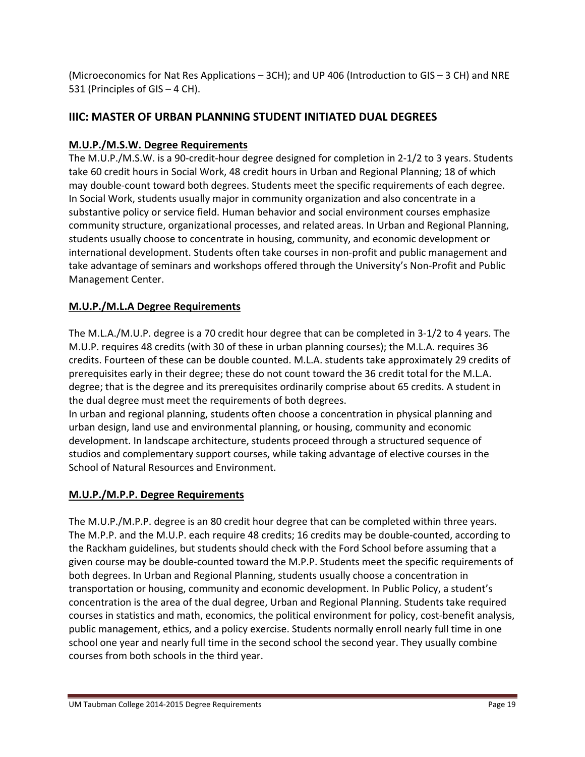(Microeconomics for Nat Res Applications – 3CH); and UP 406 (Introduction to GIS – 3 CH) and NRE 531 (Principles of GIS – 4 CH).

# **IIIC: MASTER OF URBAN PLANNING STUDENT INITIATED DUAL DEGREES**

# **M.U.P./M.S.W. Degree Requirements**

The M.U.P./M.S.W. is a 90‐credit‐hour degree designed for completion in 2‐1/2 to 3 years. Students take 60 credit hours in Social Work, 48 credit hours in Urban and Regional Planning; 18 of which may double‐count toward both degrees. Students meet the specific requirements of each degree. In Social Work, students usually major in community organization and also concentrate in a substantive policy or service field. Human behavior and social environment courses emphasize community structure, organizational processes, and related areas. In Urban and Regional Planning, students usually choose to concentrate in housing, community, and economic development or international development. Students often take courses in non‐profit and public management and take advantage of seminars and workshops offered through the University's Non‐Profit and Public Management Center.

# **M.U.P./M.L.A Degree Requirements**

The M.L.A./M.U.P. degree is a 70 credit hour degree that can be completed in 3‐1/2 to 4 years. The M.U.P. requires 48 credits (with 30 of these in urban planning courses); the M.L.A. requires 36 credits. Fourteen of these can be double counted. M.L.A. students take approximately 29 credits of prerequisites early in their degree; these do not count toward the 36 credit total for the M.L.A. degree; that is the degree and its prerequisites ordinarily comprise about 65 credits. A student in the dual degree must meet the requirements of both degrees.

In urban and regional planning, students often choose a concentration in physical planning and urban design, land use and environmental planning, or housing, community and economic development. In landscape architecture, students proceed through a structured sequence of studios and complementary support courses, while taking advantage of elective courses in the School of Natural Resources and Environment.

# **M.U.P./M.P.P. Degree Requirements**

The M.U.P./M.P.P. degree is an 80 credit hour degree that can be completed within three years. The M.P.P. and the M.U.P. each require 48 credits; 16 credits may be double‐counted, according to the Rackham guidelines, but students should check with the Ford School before assuming that a given course may be double‐counted toward the M.P.P. Students meet the specific requirements of both degrees. In Urban and Regional Planning, students usually choose a concentration in transportation or housing, community and economic development. In Public Policy, a student's concentration is the area of the dual degree, Urban and Regional Planning. Students take required courses in statistics and math, economics, the political environment for policy, cost‐benefit analysis, public management, ethics, and a policy exercise. Students normally enroll nearly full time in one school one year and nearly full time in the second school the second year. They usually combine courses from both schools in the third year.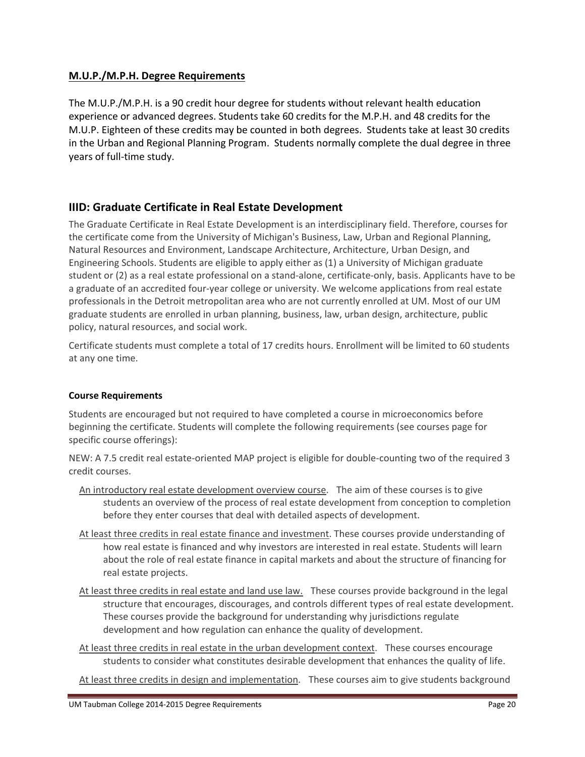# **M.U.P./M.P.H. Degree Requirements**

The M.U.P./M.P.H. is a 90 credit hour degree for students without relevant health education experience or advanced degrees. Students take 60 credits for the M.P.H. and 48 credits for the M.U.P. Eighteen of these credits may be counted in both degrees. Students take at least 30 credits in the Urban and Regional Planning Program. Students normally complete the dual degree in three years of full‐time study.

# **IIID: Graduate Certificate in Real Estate Development**

The Graduate Certificate in Real Estate Development is an interdisciplinary field. Therefore, courses for the certificate come from the University of Michigan's Business, Law, Urban and Regional Planning, Natural Resources and Environment, Landscape Architecture, Architecture, Urban Design, and Engineering Schools. Students are eligible to apply either as (1) a University of Michigan graduate student or (2) as a real estate professional on a stand‐alone, certificate‐only, basis. Applicants have to be a graduate of an accredited four‐year college or university. We welcome applications from real estate professionals in the Detroit metropolitan area who are not currently enrolled at UM. Most of our UM graduate students are enrolled in urban planning, business, law, urban design, architecture, public policy, natural resources, and social work.

Certificate students must complete a total of 17 credits hours. Enrollment will be limited to 60 students at any one time.

# **Course Requirements**

Students are encouraged but not required to have completed a course in microeconomics before beginning the certificate. Students will complete the following requirements (see courses page for specific course offerings):

NEW: A 7.5 credit real estate‐oriented MAP project is eligible for double‐counting two of the required 3 credit courses.

- An introductory real estate development overview course. The aim of these courses is to give students an overview of the process of real estate development from conception to completion before they enter courses that deal with detailed aspects of development.
- At least three credits in real estate finance and investment. These courses provide understanding of how real estate is financed and why investors are interested in real estate. Students will learn about the role of real estate finance in capital markets and about the structure of financing for real estate projects.
- At least three credits in real estate and land use law. These courses provide background in the legal structure that encourages, discourages, and controls different types of real estate development. These courses provide the background for understanding why jurisdictions regulate development and how regulation can enhance the quality of development.
- At least three credits in real estate in the urban development context. These courses encourage students to consider what constitutes desirable development that enhances the quality of life.
- At least three credits in design and implementation. These courses aim to give students background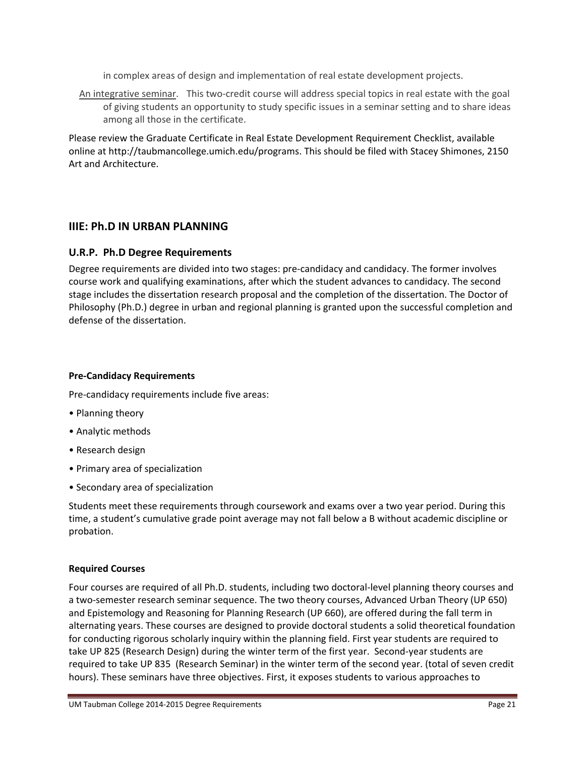in complex areas of design and implementation of real estate development projects.

An integrative seminar. This two-credit course will address special topics in real estate with the goal of giving students an opportunity to study specific issues in a seminar setting and to share ideas among all those in the certificate.

Please review the Graduate Certificate in Real Estate Development Requirement Checklist, available online at http://taubmancollege.umich.edu/programs. This should be filed with Stacey Shimones, 2150 Art and Architecture.

# **IIIE: Ph.D IN URBAN PLANNING**

### **U.R.P. Ph.D Degree Requirements**

Degree requirements are divided into two stages: pre‐candidacy and candidacy. The former involves course work and qualifying examinations, after which the student advances to candidacy. The second stage includes the dissertation research proposal and the completion of the dissertation. The Doctor of Philosophy (Ph.D.) degree in urban and regional planning is granted upon the successful completion and defense of the dissertation.

#### **Pre‐Candidacy Requirements**

Pre-candidacy requirements include five areas:

- Planning theory
- Analytic methods
- Research design
- Primary area of specialization
- Secondary area of specialization

Students meet these requirements through coursework and exams over a two year period. During this time, a student's cumulative grade point average may not fall below a B without academic discipline or probation.

#### **Required Courses**

Four courses are required of all Ph.D. students, including two doctoral‐level planning theory courses and a two‐semester research seminar sequence. The two theory courses, Advanced Urban Theory (UP 650) and Epistemology and Reasoning for Planning Research (UP 660), are offered during the fall term in alternating years. These courses are designed to provide doctoral students a solid theoretical foundation for conducting rigorous scholarly inquiry within the planning field. First year students are required to take UP 825 (Research Design) during the winter term of the first year. Second-year students are required to take UP 835 (Research Seminar) in the winter term of the second year. (total of seven credit hours). These seminars have three objectives. First, it exposes students to various approaches to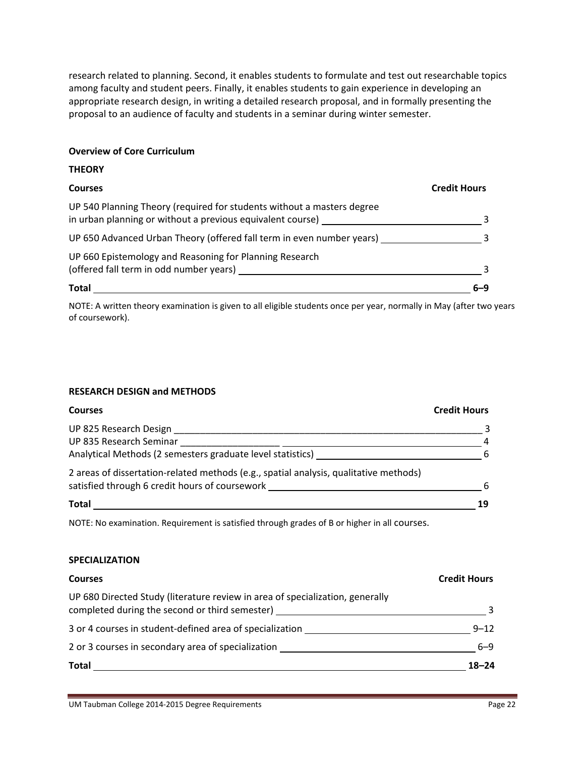research related to planning. Second, it enables students to formulate and test out researchable topics among faculty and student peers. Finally, it enables students to gain experience in developing an appropriate research design, in writing a detailed research proposal, and in formally presenting the proposal to an audience of faculty and students in a seminar during winter semester.

#### **Overview of Core Curriculum**

| <b>THEORY</b>                                                                                                                        |                     |
|--------------------------------------------------------------------------------------------------------------------------------------|---------------------|
| <b>Courses</b>                                                                                                                       | <b>Credit Hours</b> |
| UP 540 Planning Theory (required for students without a masters degree<br>in urban planning or without a previous equivalent course) |                     |
| UP 650 Advanced Urban Theory (offered fall term in even number years)                                                                |                     |
| UP 660 Epistemology and Reasoning for Planning Research<br>(offered fall term in odd number years)                                   |                     |
| <b>Total</b>                                                                                                                         | 6–9                 |

NOTE: A written theory examination is given to all eligible students once per year, normally in May (after two years of coursework).

#### **RESEARCH DESIGN and METHODS**

| <b>Courses</b>                                                                        | <b>Credit Hours</b> |
|---------------------------------------------------------------------------------------|---------------------|
| UP 825 Research Design                                                                |                     |
| UP 835 Research Seminar                                                               | 4                   |
| Analytical Methods (2 semesters graduate level statistics)                            | -6                  |
| 2 areas of dissertation-related methods (e.g., spatial analysis, qualitative methods) |                     |
| satisfied through 6 credit hours of coursework                                        | 6                   |
| <b>Total</b>                                                                          | 19                  |

NOTE: No examination. Requirement is satisfied through grades of B or higher in all courses.

#### **SPECIALIZATION**

| <b>Courses</b>                                                                                                                  | <b>Credit Hours</b> |
|---------------------------------------------------------------------------------------------------------------------------------|---------------------|
| UP 680 Directed Study (literature review in area of specialization, generally<br>completed during the second or third semester) |                     |
| 3 or 4 courses in student-defined area of specialization                                                                        | $9 - 12$            |
| 2 or 3 courses in secondary area of specialization                                                                              | $6 - 9$             |
| <b>Total</b>                                                                                                                    | $18 - 24$           |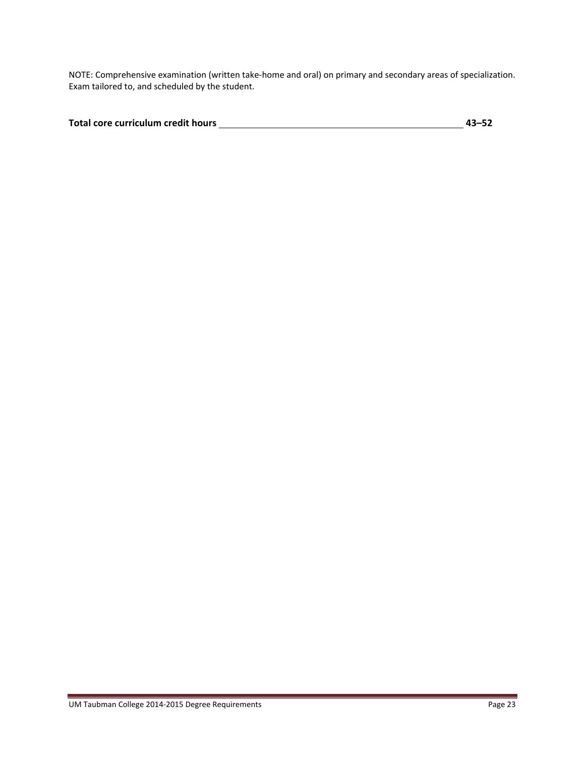NOTE: Comprehensive examination (written take‐home and oral) on primary and secondary areas of specialization. Exam tailored to, and scheduled by the student.

| Total core curriculum credit hours | $43 - 52$ |
|------------------------------------|-----------|
|                                    |           |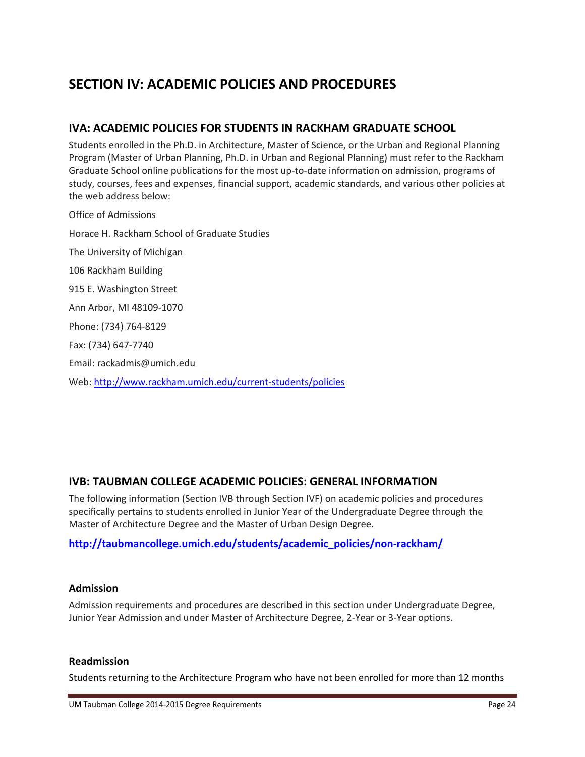# **SECTION IV: ACADEMIC POLICIES AND PROCEDURES**

# **IVA: ACADEMIC POLICIES FOR STUDENTS IN RACKHAM GRADUATE SCHOOL**

Students enrolled in the Ph.D. in Architecture, Master of Science, or the Urban and Regional Planning Program (Master of Urban Planning, Ph.D. in Urban and Regional Planning) must refer to the Rackham Graduate School online publications for the most up‐to‐date information on admission, programs of study, courses, fees and expenses, financial support, academic standards, and various other policies at the web address below:

Office of Admissions Horace H. Rackham School of Graduate Studies The University of Michigan 106 Rackham Building 915 E. Washington Street Ann Arbor, MI 48109‐1070 Phone: (734) 764‐8129 Fax: (734) 647‐7740 Email: rackadmis@umich.edu Web: http://www.rackham.umich.edu/current‐students/policies

# **IVB: TAUBMAN COLLEGE ACADEMIC POLICIES: GENERAL INFORMATION**

The following information (Section IVB through Section IVF) on academic policies and procedures specifically pertains to students enrolled in Junior Year of the Undergraduate Degree through the Master of Architecture Degree and the Master of Urban Design Degree.

# **http://taubmancollege.umich.edu/students/academic\_policies/non‐rackham/**

#### **Admission**

Admission requirements and procedures are described in this section under Undergraduate Degree, Junior Year Admission and under Master of Architecture Degree, 2‐Year or 3‐Year options.

#### **Readmission**

Students returning to the Architecture Program who have not been enrolled for more than 12 months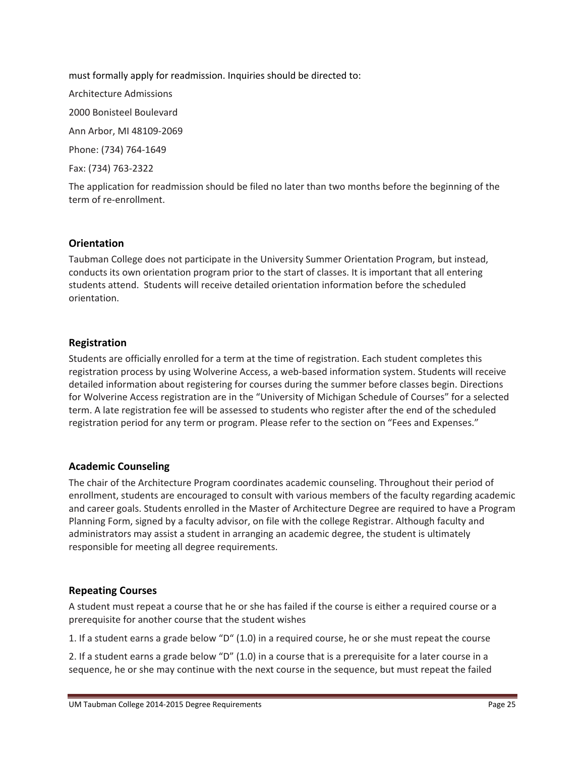must formally apply for readmission. Inquiries should be directed to: Architecture Admissions 2000 Bonisteel Boulevard Ann Arbor, MI 48109‐2069 Phone: (734) 764‐1649 Fax: (734) 763‐2322

The application for readmission should be filed no later than two months before the beginning of the term of re‐enrollment.

# **Orientation**

Taubman College does not participate in the University Summer Orientation Program, but instead, conducts its own orientation program prior to the start of classes. It is important that all entering students attend. Students will receive detailed orientation information before the scheduled orientation.

### **Registration**

Students are officially enrolled for a term at the time of registration. Each student completes this registration process by using Wolverine Access, a web-based information system. Students will receive detailed information about registering for courses during the summer before classes begin. Directions for Wolverine Access registration are in the "University of Michigan Schedule of Courses" for a selected term. A late registration fee will be assessed to students who register after the end of the scheduled registration period for any term or program. Please refer to the section on "Fees and Expenses."

#### **Academic Counseling**

The chair of the Architecture Program coordinates academic counseling. Throughout their period of enrollment, students are encouraged to consult with various members of the faculty regarding academic and career goals. Students enrolled in the Master of Architecture Degree are required to have a Program Planning Form, signed by a faculty advisor, on file with the college Registrar. Although faculty and administrators may assist a student in arranging an academic degree, the student is ultimately responsible for meeting all degree requirements.

# **Repeating Courses**

A student must repeat a course that he or she has failed if the course is either a required course or a prerequisite for another course that the student wishes

1. If a student earns a grade below "D" (1.0) in a required course, he or she must repeat the course

2. If a student earns a grade below "D" (1.0) in a course that is a prerequisite for a later course in a sequence, he or she may continue with the next course in the sequence, but must repeat the failed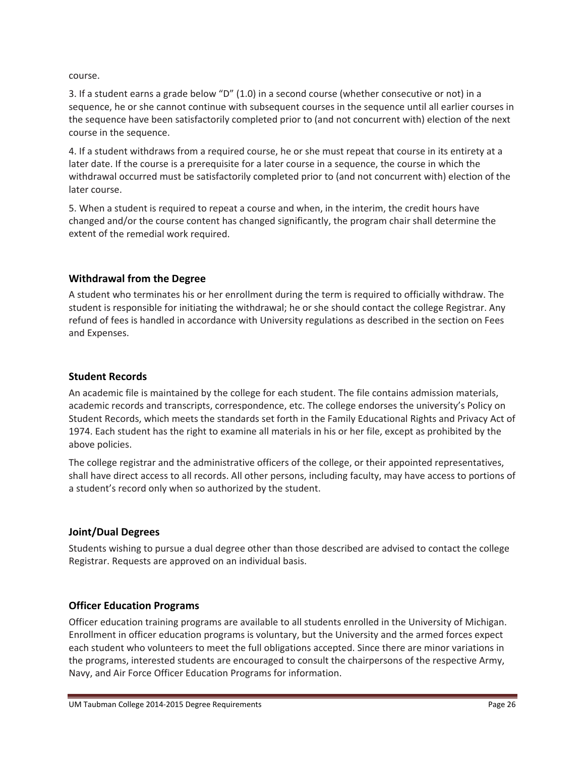course.

3. If a student earns a grade below "D" (1.0) in a second course (whether consecutive or not) in a sequence, he or she cannot continue with subsequent courses in the sequence until all earlier courses in the sequence have been satisfactorily completed prior to (and not concurrent with) election of the next course in the sequence.

4. If a student withdraws from a required course, he or she must repeat that course in its entirety at a later date. If the course is a prerequisite for a later course in a sequence, the course in which the withdrawal occurred must be satisfactorily completed prior to (and not concurrent with) election of the later course.

5. When a student is required to repeat a course and when, in the interim, the credit hours have changed and/or the course content has changed significantly, the program chair shall determine the extent of the remedial work required.

# **Withdrawal from the Degree**

A student who terminates his or her enrollment during the term is required to officially withdraw. The student is responsible for initiating the withdrawal; he or she should contact the college Registrar. Any refund of fees is handled in accordance with University regulations as described in the section on Fees and Expenses.

### **Student Records**

An academic file is maintained by the college for each student. The file contains admission materials, academic records and transcripts, correspondence, etc. The college endorses the university's Policy on Student Records, which meets the standards set forth in the Family Educational Rights and Privacy Act of 1974. Each student has the right to examine all materials in his or her file, except as prohibited by the above policies.

The college registrar and the administrative officers of the college, or their appointed representatives, shall have direct access to all records. All other persons, including faculty, may have access to portions of a student's record only when so authorized by the student.

# **Joint/Dual Degrees**

Students wishing to pursue a dual degree other than those described are advised to contact the college Registrar. Requests are approved on an individual basis.

# **Officer Education Programs**

Officer education training programs are available to all students enrolled in the University of Michigan. Enrollment in officer education programs is voluntary, but the University and the armed forces expect each student who volunteers to meet the full obligations accepted. Since there are minor variations in the programs, interested students are encouraged to consult the chairpersons of the respective Army, Navy, and Air Force Officer Education Programs for information.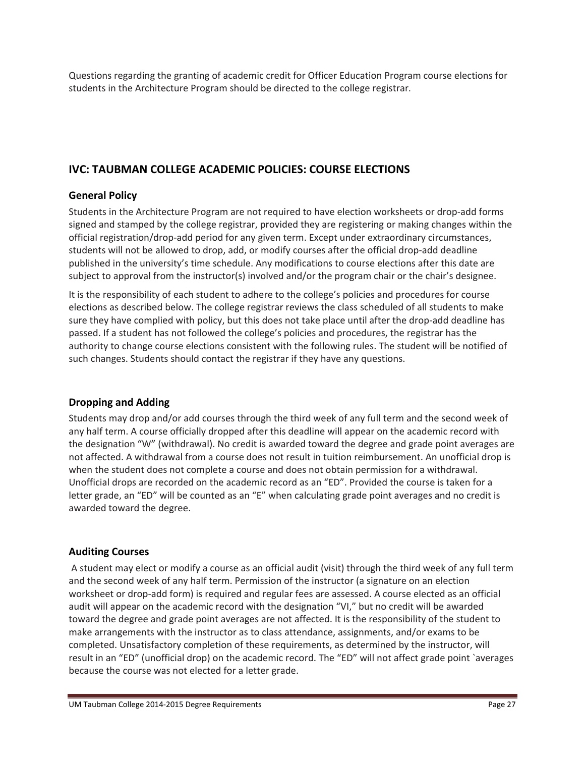Questions regarding the granting of academic credit for Officer Education Program course elections for students in the Architecture Program should be directed to the college registrar.

# **IVC: TAUBMAN COLLEGE ACADEMIC POLICIES: COURSE ELECTIONS**

# **General Policy**

Students in the Architecture Program are not required to have election worksheets or drop‐add forms signed and stamped by the college registrar, provided they are registering or making changes within the official registration/drop‐add period for any given term. Except under extraordinary circumstances, students will not be allowed to drop, add, or modify courses after the official drop-add deadline published in the university's time schedule. Any modifications to course elections after this date are subject to approval from the instructor(s) involved and/or the program chair or the chair's designee.

It is the responsibility of each student to adhere to the college's policies and procedures for course elections as described below. The college registrar reviews the class scheduled of all students to make sure they have complied with policy, but this does not take place until after the drop-add deadline has passed. If a student has not followed the college's policies and procedures, the registrar has the authority to change course elections consistent with the following rules. The student will be notified of such changes. Students should contact the registrar if they have any questions.

# **Dropping and Adding**

Students may drop and/or add courses through the third week of any full term and the second week of any half term. A course officially dropped after this deadline will appear on the academic record with the designation "W" (withdrawal). No credit is awarded toward the degree and grade point averages are not affected. A withdrawal from a course does not result in tuition reimbursement. An unofficial drop is when the student does not complete a course and does not obtain permission for a withdrawal. Unofficial drops are recorded on the academic record as an "ED". Provided the course is taken for a letter grade, an "ED" will be counted as an "E" when calculating grade point averages and no credit is awarded toward the degree.

# **Auditing Courses**

A student may elect or modify a course as an official audit (visit) through the third week of any full term and the second week of any half term. Permission of the instructor (a signature on an election worksheet or drop-add form) is required and regular fees are assessed. A course elected as an official audit will appear on the academic record with the designation "VI," but no credit will be awarded toward the degree and grade point averages are not affected. It is the responsibility of the student to make arrangements with the instructor as to class attendance, assignments, and/or exams to be completed. Unsatisfactory completion of these requirements, as determined by the instructor, will result in an "ED" (unofficial drop) on the academic record. The "ED" will not affect grade point `averages because the course was not elected for a letter grade.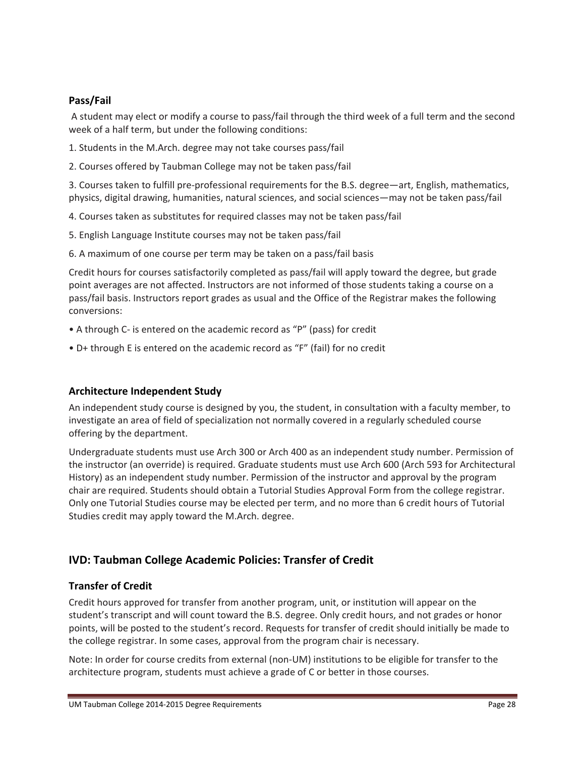# **Pass/Fail**

A student may elect or modify a course to pass/fail through the third week of a full term and the second week of a half term, but under the following conditions:

1. Students in the M.Arch. degree may not take courses pass/fail

2. Courses offered by Taubman College may not be taken pass/fail

3. Courses taken to fulfill pre‐professional requirements for the B.S. degree—art, English, mathematics, physics, digital drawing, humanities, natural sciences, and social sciences—may not be taken pass/fail

4. Courses taken as substitutes for required classes may not be taken pass/fail

5. English Language Institute courses may not be taken pass/fail

6. A maximum of one course per term may be taken on a pass/fail basis

Credit hours for courses satisfactorily completed as pass/fail will apply toward the degree, but grade point averages are not affected. Instructors are not informed of those students taking a course on a pass/fail basis. Instructors report grades as usual and the Office of the Registrar makes the following conversions:

- A through C‐ is entered on the academic record as "P" (pass) for credit
- D+ through E is entered on the academic record as "F" (fail) for no credit

# **Architecture Independent Study**

An independent study course is designed by you, the student, in consultation with a faculty member, to investigate an area of field of specialization not normally covered in a regularly scheduled course offering by the department.

Undergraduate students must use Arch 300 or Arch 400 as an independent study number. Permission of the instructor (an override) is required. Graduate students must use Arch 600 (Arch 593 for Architectural History) as an independent study number. Permission of the instructor and approval by the program chair are required. Students should obtain a Tutorial Studies Approval Form from the college registrar. Only one Tutorial Studies course may be elected per term, and no more than 6 credit hours of Tutorial Studies credit may apply toward the M.Arch. degree.

# **IVD: Taubman College Academic Policies: Transfer of Credit**

# **Transfer of Credit**

Credit hours approved for transfer from another program, unit, or institution will appear on the student's transcript and will count toward the B.S. degree. Only credit hours, and not grades or honor points, will be posted to the student's record. Requests for transfer of credit should initially be made to the college registrar. In some cases, approval from the program chair is necessary.

Note: In order for course credits from external (non‐UM) institutions to be eligible for transfer to the architecture program, students must achieve a grade of C or better in those courses.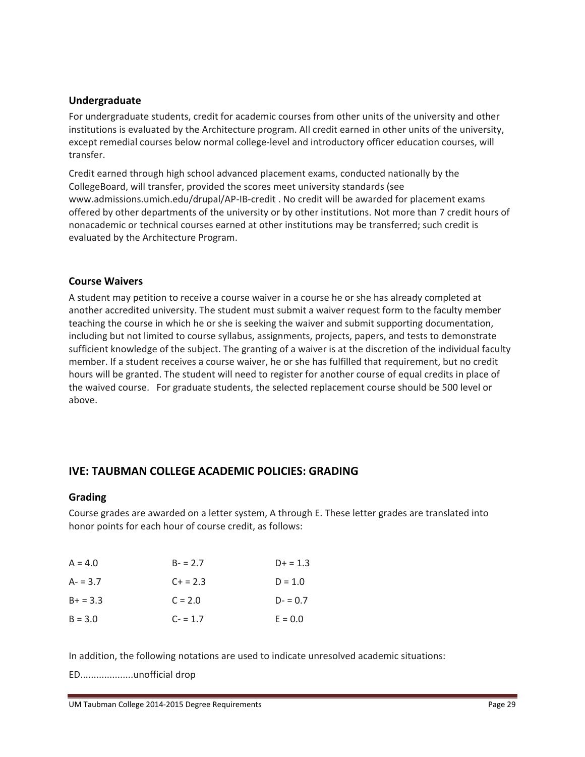### **Undergraduate**

For undergraduate students, credit for academic courses from other units of the university and other institutions is evaluated by the Architecture program. All credit earned in other units of the university, except remedial courses below normal college-level and introductory officer education courses, will transfer.

Credit earned through high school advanced placement exams, conducted nationally by the CollegeBoard, will transfer, provided the scores meet university standards (see www.admissions.umich.edu/drupal/AP‐IB‐credit . No credit will be awarded for placement exams offered by other departments of the university or by other institutions. Not more than 7 credit hours of nonacademic or technical courses earned at other institutions may be transferred; such credit is evaluated by the Architecture Program.

### **Course Waivers**

A student may petition to receive a course waiver in a course he or she has already completed at another accredited university. The student must submit a waiver request form to the faculty member teaching the course in which he or she is seeking the waiver and submit supporting documentation, including but not limited to course syllabus, assignments, projects, papers, and tests to demonstrate sufficient knowledge of the subject. The granting of a waiver is at the discretion of the individual faculty member. If a student receives a course waiver, he or she has fulfilled that requirement, but no credit hours will be granted. The student will need to register for another course of equal credits in place of the waived course. For graduate students, the selected replacement course should be 500 level or above.

# **IVE: TAUBMAN COLLEGE ACADEMIC POLICIES: GRADING**

#### **Grading**

Course grades are awarded on a letter system, A through E. These letter grades are translated into honor points for each hour of course credit, as follows:

| $A = 4.0$  | $B - 2.7$ | $D+ = 1.3$ |
|------------|-----------|------------|
| $A - 3.7$  | $C + 2.3$ | $D = 1.0$  |
| $B+ = 3.3$ | $C = 2.0$ | $D = 0.7$  |
| $B = 3.0$  | $C - 1.7$ | $E = 0.0$  |

In addition, the following notations are used to indicate unresolved academic situations:

ED....................unofficial drop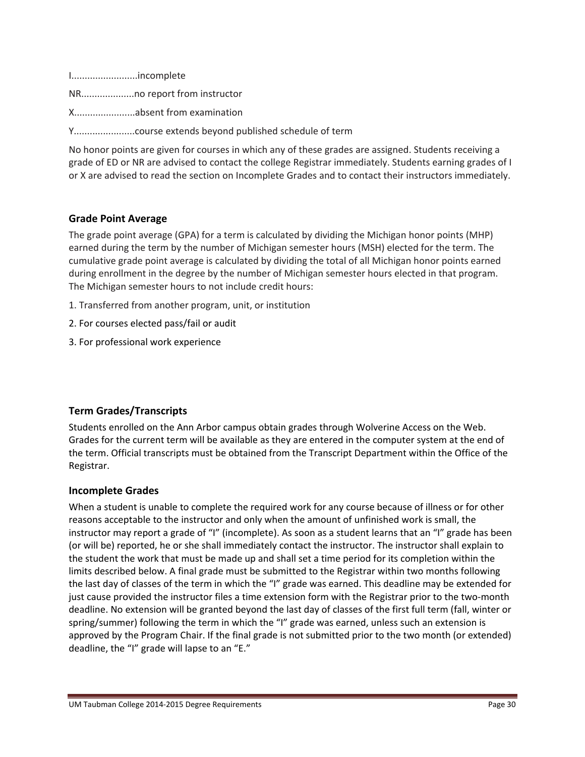I.........................incomplete

NR....................no report from instructor

X.......................absent from examination

Y.......................course extends beyond published schedule of term

No honor points are given for courses in which any of these grades are assigned. Students receiving a grade of ED or NR are advised to contact the college Registrar immediately. Students earning grades of I or X are advised to read the section on Incomplete Grades and to contact their instructors immediately.

### **Grade Point Average**

The grade point average (GPA) for a term is calculated by dividing the Michigan honor points (MHP) earned during the term by the number of Michigan semester hours (MSH) elected for the term. The cumulative grade point average is calculated by dividing the total of all Michigan honor points earned during enrollment in the degree by the number of Michigan semester hours elected in that program. The Michigan semester hours to not include credit hours:

- 1. Transferred from another program, unit, or institution
- 2. For courses elected pass/fail or audit
- 3. For professional work experience

#### **Term Grades/Transcripts**

Students enrolled on the Ann Arbor campus obtain grades through Wolverine Access on the Web. Grades for the current term will be available as they are entered in the computer system at the end of the term. Official transcripts must be obtained from the Transcript Department within the Office of the Registrar.

#### **Incomplete Grades**

When a student is unable to complete the required work for any course because of illness or for other reasons acceptable to the instructor and only when the amount of unfinished work is small, the instructor may report a grade of "I" (incomplete). As soon as a student learns that an "I" grade has been (or will be) reported, he or she shall immediately contact the instructor. The instructor shall explain to the student the work that must be made up and shall set a time period for its completion within the limits described below. A final grade must be submitted to the Registrar within two months following the last day of classes of the term in which the "I" grade was earned. This deadline may be extended for just cause provided the instructor files a time extension form with the Registrar prior to the two-month deadline. No extension will be granted beyond the last day of classes of the first full term (fall, winter or spring/summer) following the term in which the "I" grade was earned, unless such an extension is approved by the Program Chair. If the final grade is not submitted prior to the two month (or extended) deadline, the "I" grade will lapse to an "E."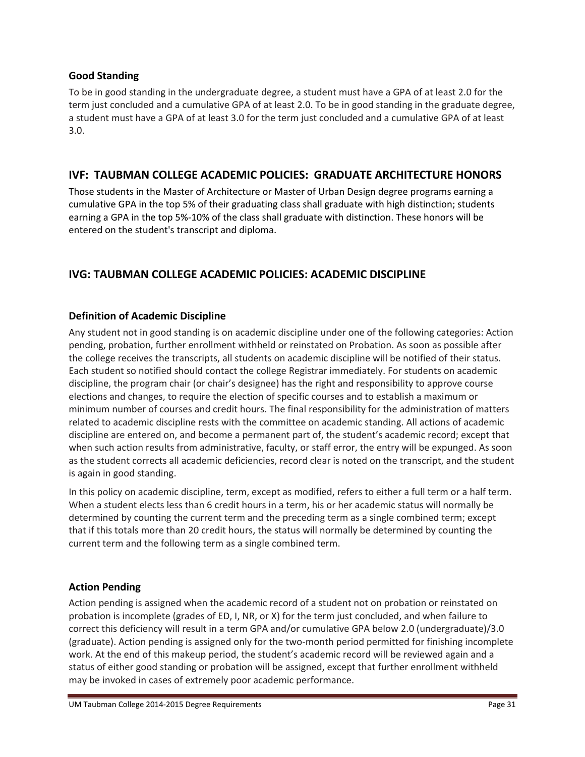# **Good Standing**

To be in good standing in the undergraduate degree, a student must have a GPA of at least 2.0 for the term just concluded and a cumulative GPA of at least 2.0. To be in good standing in the graduate degree, a student must have a GPA of at least 3.0 for the term just concluded and a cumulative GPA of at least 3.0.

# **IVF: TAUBMAN COLLEGE ACADEMIC POLICIES: GRADUATE ARCHITECTURE HONORS**

Those students in the Master of Architecture or Master of Urban Design degree programs earning a cumulative GPA in the top 5% of their graduating class shall graduate with high distinction; students earning a GPA in the top 5%‐10% of the class shall graduate with distinction. These honors will be entered on the student's transcript and diploma.

# **IVG: TAUBMAN COLLEGE ACADEMIC POLICIES: ACADEMIC DISCIPLINE**

# **Definition of Academic Discipline**

Any student not in good standing is on academic discipline under one of the following categories: Action pending, probation, further enrollment withheld or reinstated on Probation. As soon as possible after the college receives the transcripts, all students on academic discipline will be notified of their status. Each student so notified should contact the college Registrar immediately. For students on academic discipline, the program chair (or chair's designee) has the right and responsibility to approve course elections and changes, to require the election of specific courses and to establish a maximum or minimum number of courses and credit hours. The final responsibility for the administration of matters related to academic discipline rests with the committee on academic standing. All actions of academic discipline are entered on, and become a permanent part of, the student's academic record; except that when such action results from administrative, faculty, or staff error, the entry will be expunged. As soon as the student corrects all academic deficiencies, record clear is noted on the transcript, and the student is again in good standing.

In this policy on academic discipline, term, except as modified, refers to either a full term or a half term. When a student elects less than 6 credit hours in a term, his or her academic status will normally be determined by counting the current term and the preceding term as a single combined term; except that if this totals more than 20 credit hours, the status will normally be determined by counting the current term and the following term as a single combined term.

# **Action Pending**

Action pending is assigned when the academic record of a student not on probation or reinstated on probation is incomplete (grades of ED, I, NR, or X) for the term just concluded, and when failure to correct this deficiency will result in a term GPA and/or cumulative GPA below 2.0 (undergraduate)/3.0 (graduate). Action pending is assigned only for the two‐month period permitted for finishing incomplete work. At the end of this makeup period, the student's academic record will be reviewed again and a status of either good standing or probation will be assigned, except that further enrollment withheld may be invoked in cases of extremely poor academic performance.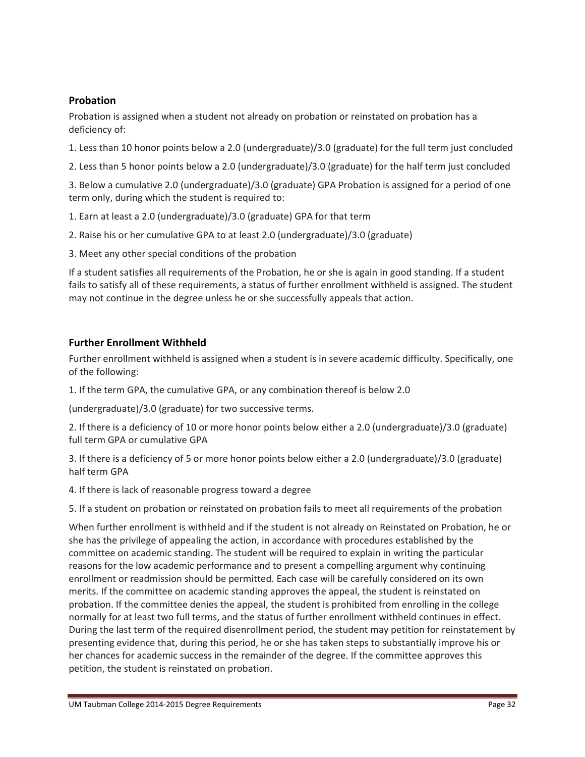# **Probation**

Probation is assigned when a student not already on probation or reinstated on probation has a deficiency of:

1. Less than 10 honor points below a 2.0 (undergraduate)/3.0 (graduate) for the full term just concluded

2. Less than 5 honor points below a 2.0 (undergraduate)/3.0 (graduate) for the half term just concluded

3. Below a cumulative 2.0 (undergraduate)/3.0 (graduate) GPA Probation is assigned for a period of one term only, during which the student is required to:

- 1. Earn at least a 2.0 (undergraduate)/3.0 (graduate) GPA for that term
- 2. Raise his or her cumulative GPA to at least 2.0 (undergraduate)/3.0 (graduate)
- 3. Meet any other special conditions of the probation

If a student satisfies all requirements of the Probation, he or she is again in good standing. If a student fails to satisfy all of these requirements, a status of further enrollment withheld is assigned. The student may not continue in the degree unless he or she successfully appeals that action.

# **Further Enrollment Withheld**

Further enrollment withheld is assigned when a student is in severe academic difficulty. Specifically, one of the following:

1. If the term GPA, the cumulative GPA, or any combination thereof is below 2.0

(undergraduate)/3.0 (graduate) for two successive terms.

2. If there is a deficiency of 10 or more honor points below either a 2.0 (undergraduate)/3.0 (graduate) full term GPA or cumulative GPA

3. If there is a deficiency of 5 or more honor points below either a 2.0 (undergraduate)/3.0 (graduate) half term GPA

4. If there is lack of reasonable progress toward a degree

5. If a student on probation or reinstated on probation fails to meet all requirements of the probation

When further enrollment is withheld and if the student is not already on Reinstated on Probation, he or she has the privilege of appealing the action, in accordance with procedures established by the committee on academic standing. The student will be required to explain in writing the particular reasons for the low academic performance and to present a compelling argument why continuing enrollment or readmission should be permitted. Each case will be carefully considered on its own merits. If the committee on academic standing approves the appeal, the student is reinstated on probation. If the committee denies the appeal, the student is prohibited from enrolling in the college normally for at least two full terms, and the status of further enrollment withheld continues in effect. During the last term of the required disenrollment period, the student may petition for reinstatement by presenting evidence that, during this period, he or she has taken steps to substantially improve his or her chances for academic success in the remainder of the degree. If the committee approves this petition, the student is reinstated on probation.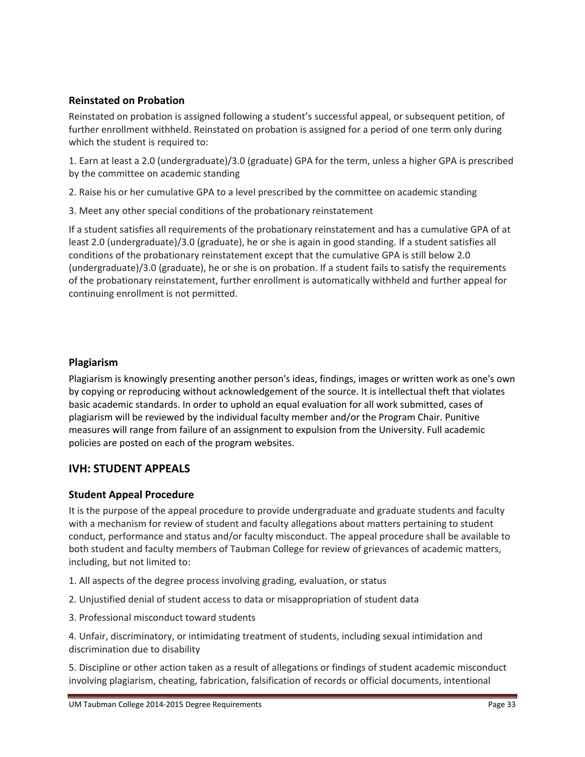# **Reinstated on Probation**

Reinstated on probation is assigned following a student's successful appeal, or subsequent petition, of further enrollment withheld. Reinstated on probation is assigned for a period of one term only during which the student is required to:

1. Earn at least a 2.0 (undergraduate)/3.0 (graduate) GPA for the term, unless a higher GPA is prescribed by the committee on academic standing

2. Raise his or her cumulative GPA to a level prescribed by the committee on academic standing

3. Meet any other special conditions of the probationary reinstatement

If a student satisfies all requirements of the probationary reinstatement and has a cumulative GPA of at least 2.0 (undergraduate)/3.0 (graduate), he or she is again in good standing. If a student satisfies all conditions of the probationary reinstatement except that the cumulative GPA is still below 2.0 (undergraduate)/3.0 (graduate), he or she is on probation. If a student fails to satisfy the requirements of the probationary reinstatement, further enrollment is automatically withheld and further appeal for continuing enrollment is not permitted.

# **Plagiarism**

Plagiarism is knowingly presenting another person's ideas, findings, images or written work as one's own by copying or reproducing without acknowledgement of the source. It is intellectual theft that violates basic academic standards. In order to uphold an equal evaluation for all work submitted, cases of plagiarism will be reviewed by the individual faculty member and/or the Program Chair. Punitive measures will range from failure of an assignment to expulsion from the University. Full academic policies are posted on each of the program websites.

# **IVH: STUDENT APPEALS**

# **Student Appeal Procedure**

It is the purpose of the appeal procedure to provide undergraduate and graduate students and faculty with a mechanism for review of student and faculty allegations about matters pertaining to student conduct, performance and status and/or faculty misconduct. The appeal procedure shall be available to both student and faculty members of Taubman College for review of grievances of academic matters, including, but not limited to:

- 1. All aspects of the degree process involving grading, evaluation, or status
- 2. Unjustified denial of student access to data or misappropriation of student data
- 3. Professional misconduct toward students

4. Unfair, discriminatory, or intimidating treatment of students, including sexual intimidation and discrimination due to disability

5. Discipline or other action taken as a result of allegations or findings of student academic misconduct involving plagiarism, cheating, fabrication, falsification of records or official documents, intentional